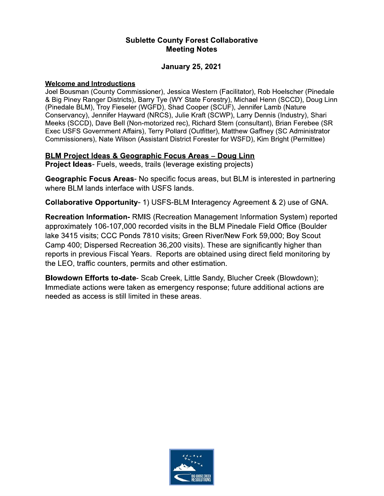### **Sublette County Forest Collaborative Meeting Notes**

### **January 25, 2021**

#### **Welcome and Introductions**

Joel Bousman (County Commissioner), Jessica Western (Facilitator), Rob Hoelscher (Pinedale & Big Piney Ranger Districts), Barry Tye (WY State Forestry), Michael Henn (SCCD), Doug Linn (Pinedale BLM), Troy Fieseler (WGFD), Shad Cooper (SCUF), Jennifer Lamb (Nature Conservancy), Jennifer Hayward (NRCS), Julie Kraft (SCWP), Larry Dennis (Industry), Shari Meeks (SCCD), Dave Bell (Non-motorized rec), Richard Stem (consultant), Brian Ferebee (SR Exec USFS Government Affairs), Terry Pollard (Outfitter), Matthew Gaffney (SC Administrator Commissioners), Nate Wilson (Assistant District Forester for WSFD), Kim Bright (Permittee)

### **BLM Project Ideas & Geographic Focus Areas - Doug Linn**

**Project Ideas-** Fuels, weeds, trails (leverage existing projects)

Geographic Focus Areas- No specific focus areas, but BLM is interested in partnering where BLM lands interface with USFS lands.

**Collaborative Opportunity-1) USFS-BLM Interagency Agreement & 2) use of GNA.** 

Recreation Information-RMIS (Recreation Management Information System) reported approximately 106-107,000 recorded visits in the BLM Pinedale Field Office (Boulder lake 3415 visits; CCC Ponds 7810 visits; Green River/New Fork 59,000; Boy Scout Camp 400; Dispersed Recreation 36,200 visits). These are significantly higher than reports in previous Fiscal Years. Reports are obtained using direct field monitoring by the LEO, traffic counters, permits and other estimation.

Blowdown Efforts to-date- Scab Creek, Little Sandy, Blucher Creek (Blowdown); Immediate actions were taken as emergency response; future additional actions are needed as access is still limited in these areas.

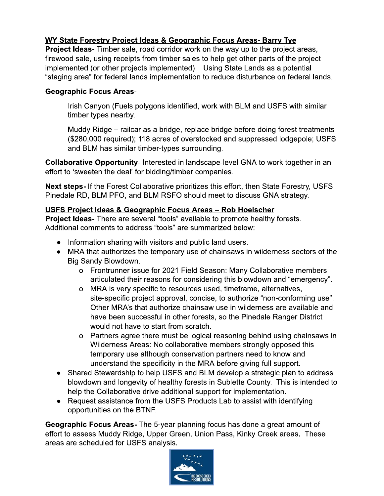# WY State Forestry Project Ideas & Geographic Focus Areas- Barry Tye

**Project Ideas-** Timber sale, road corridor work on the way up to the project areas, firewood sale, using receipts from timber sales to help get other parts of the project implemented (or other projects implemented). Using State Lands as a potential "staging area" for federal lands implementation to reduce disturbance on federal lands.

## **Geographic Focus Areas-**

Irish Canyon (Fuels polygons identified, work with BLM and USFS with similar timber types nearby.

Muddy Ridge – railcar as a bridge, replace bridge before doing forest treatments (\$280,000 required); 118 acres of overstocked and suppressed lodgepole; USFS and BLM has similar timber-types surrounding.

Collaborative Opportunity- Interested in landscape-level GNA to work together in an effort to 'sweeten the deal' for bidding/timber companies.

Next steps- If the Forest Collaborative prioritizes this effort, then State Forestry, USFS Pinedale RD, BLM PFO, and BLM RSFO should meet to discuss GNA strategy.

# <u> USFS Project Ideas & Geographic Focus Areas - Rob Hoelscher</u>

**Project Ideas-** There are several "tools" available to promote healthy forests. Additional comments to address "tools" are summarized below:

- Information sharing with visitors and public land users.
- MRA that authorizes the temporary use of chainsaws in wilderness sectors of the Big Sandy Blowdown.
	- o Frontrunner issue for 2021 Field Season: Many Collaborative members articulated their reasons for considering this blowdown and "emergency".
	- o MRA is very specific to resources used, timeframe, alternatives, site-specific project approval, concise, to authorize "non-conforming use". Other MRA's that authorize chainsaw use in wilderness are available and have been successful in other forests, so the Pinedale Ranger District would not have to start from scratch.
	- o Partners agree there must be logical reasoning behind using chainsaws in Wilderness Areas: No collaborative members strongly opposed this temporary use although conservation partners need to know and understand the specificity in the MRA before giving full support.
- Shared Stewardship to help USFS and BLM develop a strategic plan to address blowdown and longevity of healthy forests in Sublette County. This is intended to help the Collaborative drive additional support for implementation.
- Request assistance from the USFS Products Lab to assist with identifying opportunities on the BTNF.

Geographic Focus Areas- The 5-year planning focus has done a great amount of effort to assess Muddy Ridge, Upper Green, Union Pass, Kinky Creek areas. These areas are scheduled for USFS analysis.

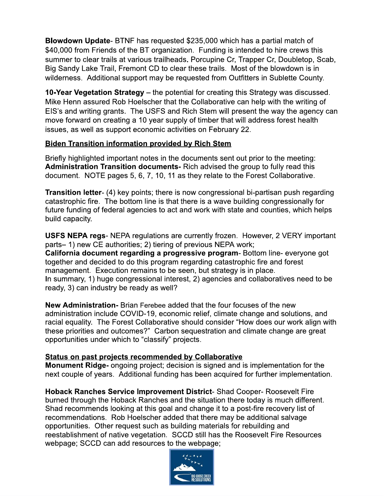**Blowdown Update-** BTNF has requested \$235,000 which has a partial match of \$40,000 from Friends of the BT organization. Funding is intended to hire crews this summer to clear trails at various trailheads. Porcupine Cr. Trapper Cr. Doubletop. Scab. Big Sandy Lake Trail, Fremont CD to clear these trails. Most of the blowdown is in wilderness. Additional support may be requested from Outfitters in Sublette County.

10-Year Vegetation Strategy – the potential for creating this Strategy was discussed. Mike Henn assured Rob Hoelscher that the Collaborative can help with the writing of EIS's and writing grants. The USFS and Rich Stem will present the way the agency can move forward on creating a 10 year supply of timber that will address forest health issues, as well as support economic activities on February 22.

## **Biden Transition information provided by Rich Stem**

Briefly highlighted important notes in the documents sent out prior to the meeting: Administration Transition documents- Rich advised the group to fully read this document. NOTE pages 5, 6, 7, 10, 11 as they relate to the Forest Collaborative.

**Transition letter-** (4) key points; there is now congressional bi-partisan push regarding catastrophic fire. The bottom line is that there is a wave building congressionally for future funding of federal agencies to act and work with state and counties, which helps build capacity.

**USFS NEPA regs-** NEPA regulations are currently frozen. However, 2 VERY important parts-1) new CE authorities; 2) tiering of previous NEPA work; California document regarding a progressive program-Bottom line-everyone got together and decided to do this program regarding catastrophic fire and forest management. Execution remains to be seen, but strategy is in place. In summary, 1) huge congressional interest, 2) agencies and collaboratives need to be ready, 3) can industry be ready as well?

**New Administration-** Brian Ferebee added that the four focuses of the new administration include COVID-19, economic relief, climate change and solutions, and racial equality. The Forest Collaborative should consider "How does our work align with these priorities and outcomes?" Carbon sequestration and climate change are great opportunities under which to "classify" projects.

### Status on past projects recommended by Collaborative

Monument Ridge- ongoing project; decision is signed and is implementation for the next couple of years. Additional funding has been acquired for further implementation.

Hoback Ranches Service Improvement District- Shad Cooper- Roosevelt Fire burned through the Hoback Ranches and the situation there today is much different. Shad recommends looking at this goal and change it to a post-fire recovery list of recommendations. Rob Hoelscher added that there may be additional salvage opportunities. Other request such as building materials for rebuilding and reestablishment of native vegetation. SCCD still has the Roosevelt Fire Resources webpage; SCCD can add resources to the webpage;